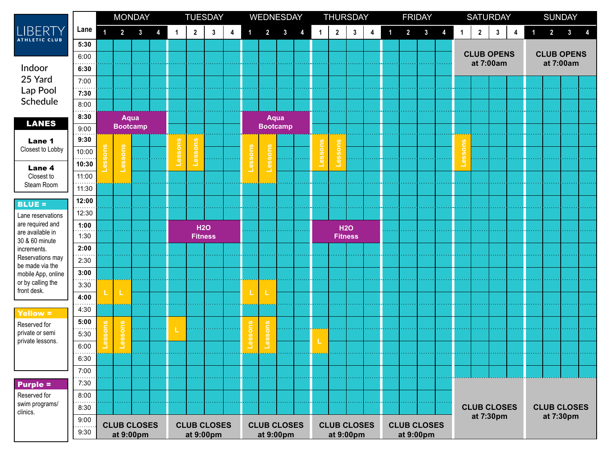|                                                                                                                                                    |            | <b>MONDAY</b>           |                    |              |   | <b>TUESDAY</b>     |              |                |   | WEDNESDAY               |                |              |                    | <b>THURSDAY</b> |                  |                |                    | <b>FRIDAY</b>           |                |              |           | <b>SATURDAY</b>                |                    |              |   | <b>SUNDAY</b>                  |             |                    |   |
|----------------------------------------------------------------------------------------------------------------------------------------------------|------------|-------------------------|--------------------|--------------|---|--------------------|--------------|----------------|---|-------------------------|----------------|--------------|--------------------|-----------------|------------------|----------------|--------------------|-------------------------|----------------|--------------|-----------|--------------------------------|--------------------|--------------|---|--------------------------------|-------------|--------------------|---|
| LIBERTY                                                                                                                                            | Lane       | $\overline{\mathbf{1}}$ | $\overline{2}$     | $\mathbf{3}$ | 4 | 1                  | $\mathbf{2}$ | $\mathbf{3}$   | 4 | $\overline{\mathbf{1}}$ | $\overline{2}$ | $\mathbf{3}$ | 4                  | $\mathbf{1}$    | $\boldsymbol{2}$ | 3              | 4                  | $\overline{\mathbf{1}}$ | $\overline{2}$ | $\mathbf{3}$ | 4         |                                | $\mathbf{2}$       | $\mathbf{3}$ | 4 | $\mathbf{1}$                   | $2^{\circ}$ | $\mathbf{3}$       | 4 |
| <b>ATHLETIC CLUB</b>                                                                                                                               | 5:30       |                         |                    |              |   |                    |              |                |   |                         |                |              |                    |                 |                  |                |                    |                         |                |              |           |                                |                    |              |   |                                |             |                    |   |
|                                                                                                                                                    | 6:00       |                         |                    |              |   |                    |              |                |   |                         |                |              |                    |                 |                  |                |                    |                         |                |              |           | <b>CLUB OPENS</b><br>at 7:00am |                    |              |   | <b>CLUB OPENS</b><br>at 7:00am |             |                    |   |
| Indoor<br>25 Yard<br>Lap Pool<br>Schedule<br><b>LANES</b>                                                                                          | 6:30       |                         |                    |              |   |                    |              |                |   |                         |                |              |                    |                 |                  |                |                    |                         |                |              |           |                                |                    |              |   |                                |             |                    |   |
|                                                                                                                                                    | 7:00       |                         |                    |              |   |                    |              |                |   |                         |                |              |                    |                 |                  |                |                    |                         |                |              |           |                                |                    |              |   |                                |             |                    |   |
|                                                                                                                                                    | 7:30       |                         |                    |              |   |                    |              |                |   |                         |                |              |                    |                 |                  |                |                    |                         |                |              |           |                                |                    |              |   |                                |             |                    |   |
|                                                                                                                                                    | 8:00       |                         |                    |              |   |                    |              |                |   |                         |                |              |                    |                 |                  |                |                    |                         |                |              |           |                                |                    |              |   |                                |             |                    |   |
|                                                                                                                                                    | 8:30       | Aqua                    |                    |              |   |                    |              |                |   | Aqua                    |                |              |                    |                 |                  |                |                    |                         |                |              |           |                                |                    |              |   |                                |             |                    |   |
| Lane 1<br>Closest to Lobby                                                                                                                         | 9:00       | <b>Bootcamp</b>         |                    |              |   |                    |              |                |   | <b>Bootcamp</b>         |                |              |                    |                 |                  |                |                    |                         |                |              |           |                                |                    |              |   |                                |             |                    |   |
|                                                                                                                                                    | 9:30       |                         |                    |              |   |                    |              |                |   |                         |                |              |                    |                 |                  |                |                    |                         |                |              |           | leng                           |                    |              |   |                                |             |                    |   |
|                                                                                                                                                    | 10:00<br>. |                         | Lessons            |              |   | essons             | Lessons      |                |   | sons                    | ssons          |              |                    | essons          | Lessons          |                |                    |                         |                |              |           |                                |                    |              |   |                                |             |                    |   |
| Lane 4                                                                                                                                             | 10:30      |                         |                    |              |   |                    |              |                |   |                         |                |              |                    |                 |                  |                |                    |                         |                |              |           |                                |                    |              |   |                                |             |                    |   |
| Closest to<br>Steam Room                                                                                                                           | 11:00      |                         |                    |              |   |                    |              |                |   |                         |                |              |                    |                 |                  |                |                    |                         |                |              |           |                                |                    |              |   |                                |             |                    |   |
|                                                                                                                                                    | 11:30      |                         |                    |              |   |                    |              |                |   |                         |                |              |                    |                 |                  |                |                    |                         |                |              |           |                                |                    |              |   |                                |             |                    |   |
| <b>BLUE =</b><br>Lane reservations<br>are required and<br>are available in<br>30 & 60 minute<br>increments.<br>Reservations may<br>be made via the | 12:00      |                         |                    |              |   |                    |              |                |   |                         |                |              |                    |                 |                  |                |                    |                         |                |              |           |                                |                    |              |   |                                |             |                    |   |
|                                                                                                                                                    | 12:30      |                         |                    |              |   |                    |              |                |   |                         |                |              |                    |                 |                  |                |                    |                         |                |              |           |                                |                    |              |   |                                |             |                    |   |
|                                                                                                                                                    | 1:00       |                         |                    |              |   |                    | <b>H2O</b>   |                |   |                         |                |              |                    |                 | <b>H2O</b>       |                |                    |                         |                |              |           |                                |                    |              |   |                                |             |                    |   |
|                                                                                                                                                    | 1:30       |                         |                    |              |   |                    |              | <b>Fitness</b> |   |                         |                |              |                    |                 |                  | <b>Fitness</b> |                    |                         |                |              |           |                                |                    |              |   |                                |             |                    |   |
|                                                                                                                                                    | 2:00       |                         |                    |              |   |                    |              |                |   |                         |                |              |                    |                 |                  |                |                    |                         |                |              |           |                                |                    |              |   |                                |             |                    |   |
|                                                                                                                                                    | 2:30       |                         |                    |              |   |                    |              |                |   |                         |                |              |                    |                 |                  |                |                    |                         |                |              |           |                                |                    |              |   |                                |             |                    |   |
| mobile App, online                                                                                                                                 | 3:00       |                         |                    |              |   |                    |              |                |   |                         |                |              |                    |                 |                  |                |                    |                         |                |              |           |                                |                    |              |   |                                |             |                    |   |
| or by calling the<br>front desk.                                                                                                                   | 3:30       |                         | т                  |              |   |                    |              |                |   |                         | L              |              |                    |                 |                  |                |                    |                         |                |              |           |                                |                    |              |   |                                |             |                    |   |
|                                                                                                                                                    | 4:00       |                         |                    |              |   |                    |              |                |   |                         |                |              |                    |                 |                  |                |                    |                         |                |              |           |                                |                    |              |   |                                |             |                    |   |
| Yellow =                                                                                                                                           | 4:30       |                         |                    |              |   |                    |              |                |   |                         |                |              |                    |                 |                  |                |                    |                         |                |              |           |                                |                    |              |   |                                |             |                    |   |
| Reserved for<br>private or semi<br>private lessons.                                                                                                | 5:00       |                         |                    |              |   |                    |              |                |   |                         |                |              |                    |                 |                  |                |                    |                         |                |              |           |                                |                    |              |   |                                |             |                    |   |
|                                                                                                                                                    | 5:30       |                         | Lessons            |              |   |                    |              |                |   |                         | Lessons        |              |                    |                 |                  |                |                    |                         |                |              |           |                                |                    |              |   |                                |             |                    |   |
|                                                                                                                                                    | 6:00       |                         |                    |              |   |                    |              |                |   |                         |                |              |                    |                 |                  |                |                    |                         |                |              |           |                                |                    |              |   |                                |             |                    |   |
|                                                                                                                                                    | 6:30       |                         |                    |              |   |                    |              |                |   |                         |                |              |                    |                 |                  |                |                    |                         |                |              |           |                                |                    |              |   |                                |             |                    |   |
|                                                                                                                                                    | 7:00       |                         |                    |              |   |                    |              |                |   |                         |                |              |                    |                 |                  |                |                    |                         |                |              |           |                                |                    |              |   |                                |             |                    |   |
| <b>Purple =</b>                                                                                                                                    | 7:30       |                         |                    |              |   |                    |              |                |   |                         |                |              |                    |                 |                  |                |                    |                         |                |              |           |                                |                    |              |   |                                |             |                    |   |
| Reserved for<br>swim programs/<br>clinics.                                                                                                         | 8:00       |                         |                    |              |   |                    |              |                |   |                         |                |              |                    |                 |                  |                |                    |                         |                |              |           |                                |                    |              |   |                                |             |                    |   |
|                                                                                                                                                    | 8:30       |                         |                    |              |   |                    |              |                |   |                         |                |              |                    |                 |                  |                |                    |                         |                |              |           |                                | <b>CLUB CLOSES</b> |              |   |                                |             | <b>CLUB CLOSES</b> |   |
|                                                                                                                                                    | 9:00<br>.  |                         | <b>CLUB CLOSES</b> |              |   | <b>CLUB CLOSES</b> |              |                |   | <b>CLUB CLOSES</b>      |                |              | <b>CLUB CLOSES</b> |                 |                  |                | <b>CLUB CLOSES</b> |                         |                |              | at 7:30pm |                                |                    |              |   | at 7:30pm                      |             |                    |   |
|                                                                                                                                                    | 9:30       | at 9:00pm               |                    |              |   | at 9:00pm          |              |                |   |                         | at 9:00pm      |              |                    |                 | at 9:00pm        |                |                    |                         | at 9:00pm      |              |           |                                |                    |              |   |                                |             |                    |   |